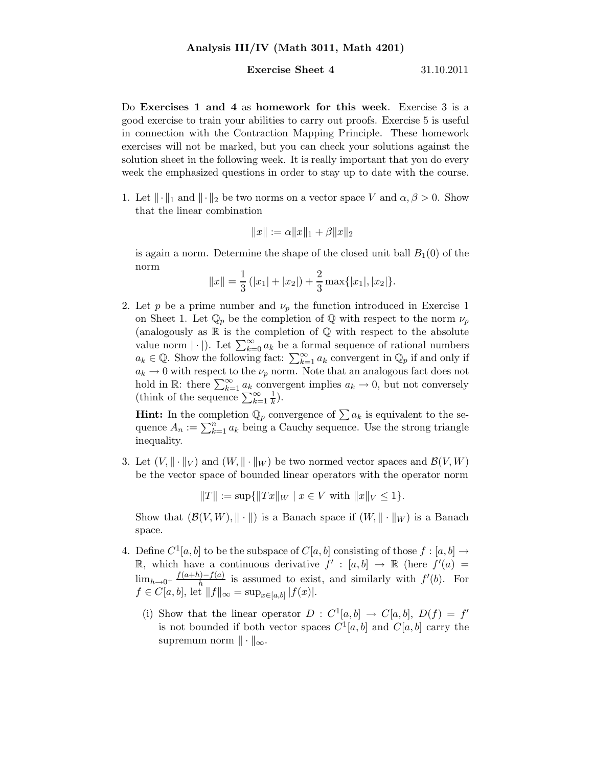## Analysis III/IV (Math 3011, Math 4201)

## **Exercise Sheet 4** 31.10.2011

Do Exercises 1 and 4 as homework for this week. Exercise 3 is a good exercise to train your abilities to carry out proofs. Exercise 5 is useful in connection with the Contraction Mapping Principle. These homework exercises will not be marked, but you can check your solutions against the solution sheet in the following week. It is really important that you do every week the emphasized questions in order to stay up to date with the course.

1. Let  $\|\cdot\|_1$  and  $\|\cdot\|_2$  be two norms on a vector space V and  $\alpha, \beta > 0$ . Show that the linear combination

$$
||x|| := \alpha ||x||_1 + \beta ||x||_2
$$

is again a norm. Determine the shape of the closed unit ball  $B_1(0)$  of the norm

$$
||x|| = \frac{1}{3} (|x_1| + |x_2|) + \frac{2}{3} \max\{|x_1|, |x_2|\}.
$$

2. Let p be a prime number and  $\nu_p$  the function introduced in Exercise 1 on Sheet 1. Let  $\mathbb{Q}_p$  be the completion of  $\mathbb Q$  with respect to the norm  $\nu_p$ (analogously as  $\mathbb R$  is the completion of  $\mathbb Q$  with respect to the absolute value norm  $|\cdot|$ . Let  $\sum_{k=0}^{\infty} a_k$  be a formal sequence of rational numbers  $a_k \in \mathbb{Q}$ . Show the following fact:  $\sum_{k=1}^{\infty} a_k$  convergent in  $\mathbb{Q}_p$  if and only if  $a_k \to 0$  with respect to the  $\nu_p$  norm. Note that an analogous fact does not hold in R: there  $\sum_{k=1}^{\infty} a_k$  convergent implies  $a_k \to 0$ , but not conversely (think of the sequence  $\sum_{k=1}^{\infty} \frac{1}{k}$ ).

**Hint:** In the completion  $\mathbb{Q}_p$  convergence of  $\sum a_k$  is equivalent to the sequence  $A_n := \sum_{k=1}^n a_k$  being a Cauchy sequence. Use the strong triangle inequality.

3. Let  $(V, \|\cdot\|_V)$  and  $(W, \|\cdot\|_W)$  be two normed vector spaces and  $\mathcal{B}(V, W)$ be the vector space of bounded linear operators with the operator norm

 $||T|| := \sup{||Tx||_W | x \in V \text{ with } ||x||_V \leq 1}.$ 

Show that  $(\mathcal{B}(V, W), \|\cdot\|)$  is a Banach space if  $(W, \|\cdot\|_W)$  is a Banach space.

- 4. Define  $C^1[a, b]$  to be the subspace of  $C[a, b]$  consisting of those  $f : [a, b] \rightarrow$ R, which have a continuous derivative  $f' : [a, b] \rightarrow \mathbb{R}$  (here  $f'(a) =$  $\lim_{h\to 0^+} \frac{f(a+h)-f(a)}{h}$  $\frac{h}{h}$  is assumed to exist, and similarly with  $f'(b)$ . For  $f \in C[a, b], \text{ let } ||f||_{\infty} = \sup_{x \in [a, b]} |f(x)|.$ 
	- (i) Show that the linear operator  $D: C^1[a, b] \to C[a, b], D(f) = f'$ is not bounded if both vector spaces  $C^1[a, b]$  and  $C[a, b]$  carry the supremum norm  $\|\cdot\|_{\infty}$ .